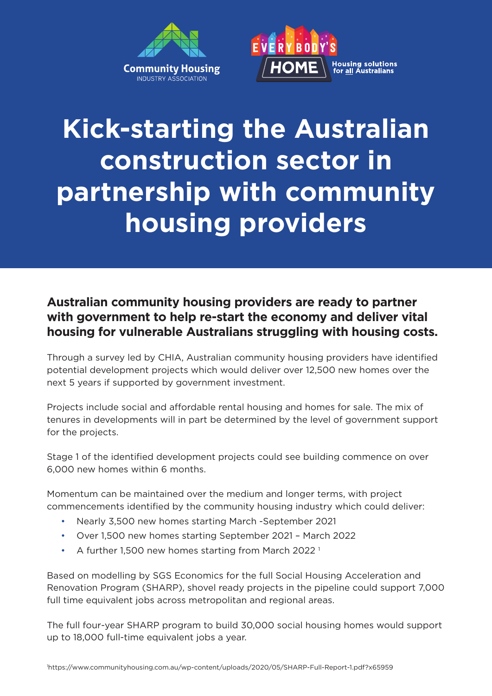



## **Kick-starting the Australian construction sector in partnership with community housing providers**

## **Australian community housing providers are ready to partner with government to help re-start the economy and deliver vital housing for vulnerable Australians struggling with housing costs.**

Through a survey led by CHIA, Australian community housing providers have identified potential development projects which would deliver over 12,500 new homes over the next 5 years if supported by government investment.

Projects include social and affordable rental housing and homes for sale. The mix of tenures in developments will in part be determined by the level of government support for the projects.

Stage 1 of the identified development projects could see building commence on over 6,000 new homes within 6 months.

Momentum can be maintained over the medium and longer terms, with project commencements identified by the community housing industry which could deliver:

- Nearly 3,500 new homes starting March -September 2021
- Over 1,500 new homes starting September 2021 March 2022
- A further 1,500 new homes starting from March 2022<sup>1</sup>

Based on modelling by SGS Economics for the full Social Housing Acceleration and Renovation Program (SHARP), shovel ready projects in the pipeline could support 7,000 full time equivalent jobs across metropolitan and regional areas.

The full four-year SHARP program to build 30,000 social housing homes would support up to 18,000 full-time equivalent jobs a year.